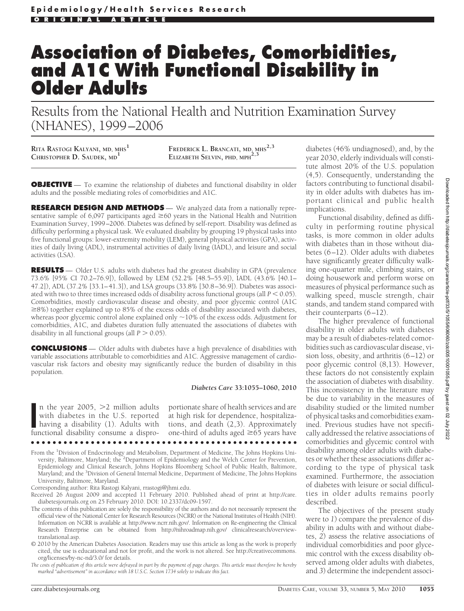# **Association of Diabetes, Comorbidities, and A1C With Functional Disability in Older Adults**

Results from the National Health and Nutrition Examination Survey (NHANES), 1999–2006

**RITA RASTOGI KALYANI, MD, MHS<sup>1</sup>**

**CHRISTOPHER D. SAUDEK, MD<sup>1</sup> FREDERICK L. BRANCATI, MD, MHS2,3 ELIZABETH SELVIN, PHD, MPH2,3**

**OBJECTIVE** — To examine the relationship of diabetes and functional disability in older adults and the possible mediating roles of comorbidities and A1C.

**RESEARCH DESIGN AND METHODS** — We analyzed data from a nationally representative sample of  $6,097$  participants aged  $\geq 60$  years in the National Health and Nutrition Examination Survey, 1999–2006. Diabetes was defined by self-report. Disability was defined as difficulty performing a physical task. We evaluated disability by grouping 19 physical tasks into five functional groups: lower-extremity mobility (LEM), general physical activities (GPA), activities of daily living (ADL), instrumental activities of daily living (IADL), and leisure and social activities (LSA).

**RESULTS** — Older U.S. adults with diabetes had the greatest disability in GPA (prevalence 73.6% [95% CI 70.2–76.9]), followed by LEM (52.2% [48.5–55.9]), IADL (43.6% [40.1– 47.2]), ADL (37.2% [33.1–41.3]), and LSA groups (33.8% [30.8–36.9]). Diabetes was associated with two to three times increased odds of disability across functional groups (all  $P < 0.05$ ). Comorbidities, mostly cardiovascular disease and obesity, and poor glycemic control (A1C  $\geq$ 8%) together explained up to 85% of the excess odds of disability associated with diabetes, whereas poor glycemic control alone explained only  $\sim$  10% of the excess odds. Adjustment for comorbidities, A1C, and diabetes duration fully attenuated the associations of diabetes with disability in all functional groups (all  $P > 0.05$ ).

**CONCLUSIONS** — Older adults with diabetes have a high prevalence of disabilities with variable associations attributable to comorbidities and A1C. Aggressive management of cardiovascular risk factors and obesity may significantly reduce the burden of disability in this population.

#### *Diabetes Care* **33:1055–1060, 2010**

n the year 2005, >2 million adults<br>with diabetes in the U.S. reported<br>having a disability (1). Adults with<br>functional disability consume a dispron the year  $2005$ ,  $>2$  million adults with diabetes in the U.S. reported having a disability (1). Adults with

portionate share of health services and are at high risk for dependence, hospitalizations, and death (2,3). Approximately one-third of adults aged  $\geq 65$  years have

●●●●●●●●●●●●●●●●●●●●●●●●●●●●●●●●●●●●●●●●●●●●●●●●●

Corresponding author: Rita Rastogi Kalyani, rrastogi@jhmi.edu.

- Received 26 August 2009 and accepted 11 February 2010. Published ahead of print at http://care. diabetesjournals.org on 25 February 2010. DOI: 10.2337/dc09-1597.
- The contents of this publication are solely the responsibility of the authors and do not necessarily represent the official view of the National Center for Research Resources (NCRR) or the National Institutes of Health (NIH). Information on NCRR is available at http://www.ncrr.nih.gov/. Information on Re-engineering the Clinical Research Enterprise can be obtained from http://nihroadmap.nih.gov/ clinicalresearch/overviewtranslational.asp.

© 2010 by the American Diabetes Association. Readers may use this article as long as the work is properly cited, the use is educational and not for profit, and the work is not altered. See http://creativecommons. org/licenses/by-nc-nd/3.0/ for details.

*The costs of publication of this article were defrayed in part by the payment of page charges. This article must therefore be hereby marked "advertisement" in accordance with 18 U.S.C. Section 1734 solely to indicate this fact.*

diabetes (46% undiagnosed), and, by the year 2030, elderly individuals will constitute almost 20% of the U.S. population (4,5). Consequently, understanding the factors contributing to functional disability in older adults with diabetes has important clinical and public health implications.

Functional disability, defined as difficulty in performing routine physical tasks, is more common in older adults with diabetes than in those without diabetes (6–12). Older adults with diabetes have significantly greater difficulty walking one-quarter mile, climbing stairs, or doing housework and perform worse on measures of physical performance such as walking speed, muscle strength, chair stands, and tandem stand compared with their counterparts (6–12).

The higher prevalence of functional disability in older adults with diabetes may be a result of diabetes-related comorbidities such as cardiovascular disease, vision loss, obesity, and arthritis (6–12) or poor glycemic control (8,13). However, these factors do not consistently explain the association of diabetes with disability. This inconsistency in the literature may be due to variability in the measures of disability studied or the limited number of physical tasks and comorbidities examined. Previous studies have not specifically addressed the relative associations of comorbidities and glycemic control with disability among older adults with diabetes or whether these associations differ according to the type of physical task examined. Furthermore, the association of diabetes with leisure or social difficulties in older adults remains poorly described.

The objectives of the present study were to *1*) compare the prevalence of disability in adults with and without diabetes, *2*) assess the relative associations of individual comorbidities and poor glycemic control with the excess disability observed among older adults with diabetes, and *3*) determine the independent associ-

From the <sup>1</sup>Division of Endocrinology and Metabolism, Department of Medicine, The Johns Hopkins University, Baltimore, Maryland; the <sup>2</sup>Department of Epidemiology and the Welch Center for Prevention, Epidemiology and Clinical Research, Johns Hopkins Bloomberg School of Public Health, Baltimore, Maryland; and the <sup>3</sup>Division of General Internal Medicine, Department of Medicine, The Johns Hopkins University, Baltimore, Maryland.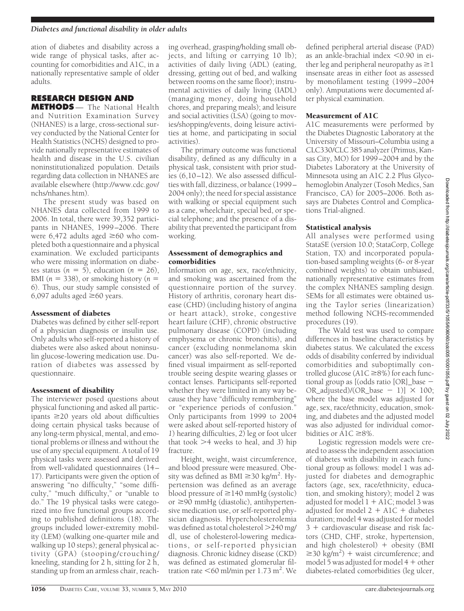ation of diabetes and disability across a wide range of physical tasks, after accounting for comorbidities and A1C, in a nationally representative sample of older adults.

# **RESEARCH DESIGN AND**

**METHODS** — The National Health and Nutrition Examination Survey (NHANES) is a large, cross-sectional survey conducted by the National Center for Health Statistics (NCHS) designed to provide nationally representative estimates of health and disease in the U.S. civilian noninstitutionalized population. Details regarding data collection in NHANES are available elsewhere (http://www.cdc.gov/ nchs/nhanes.htm).

The present study was based on NHANES data collected from 1999 to 2006. In total, there were 39,352 participants in NHANES, 1999–2006. There were 6,472 adults aged  $\geq 60$  who completed both a questionnaire and a physical examination. We excluded participants who were missing information on diabetes status  $(n = 5)$ , education  $(n = 26)$ , BMI ( $n = 338$ ), or smoking history ( $n =$ 6). Thus, our study sample consisted of 6,097 adults aged  $\geq 60$  years.

### Assessment of diabetes

Diabetes was defined by either self-report of a physician diagnosis or insulin use. Only adults who self-reported a history of diabetes were also asked about noninsulin glucose-lowering medication use. Duration of diabetes was assessed by questionnaire.

## Assessment of disability

The interviewer posed questions about physical functioning and asked all participants  $\geq$  20 years old about difficulties doing certain physical tasks because of any long-term physical, mental, and emotional problems or illness and without the use of any special equipment. A total of 19 physical tasks were assessed and derived from well-validated questionnaires (14– 17). Participants were given the option of answering "no difficulty," "some difficulty," "much difficulty," or "unable to do." The 19 physical tasks were categorized into five functional groups according to published definitions (18). The groups included lower-extremity mobility (LEM) (walking one-quarter mile and walking up 10 steps); general physical activity (GPA) (stooping/crouching/ kneeling, standing for 2 h, sitting for 2 h, standing up from an armless chair, reach-

ing overhead, grasping/holding small objects, and lifting or carrying 10 lb); activities of daily living (ADL) (eating, dressing, getting out of bed, and walking between rooms on the same floor); instrumental activities of daily living (IADL) (managing money, doing household chores, and preparing meals); and leisure and social activities (LSA) (going to movies/shopping/events, doing leisure activities at home, and participating in social activities).

The primary outcome was functional disability, defined as any difficulty in a physical task, consistent with prior studies (6,10–12). We also assessed difficulties with fall, dizziness, or balance (1999– 2004 only); the need for special assistance with walking or special equipment such as a cane, wheelchair, special bed, or special telephone; and the presence of a disability that prevented the participant from working.

## Assessment of demographics and comorbidities

Information on age, sex, race/ethnicity, and smoking was ascertained from the questionnaire portion of the survey. History of arthritis, coronary heart disease (CHD) (including history of angina or heart attack), stroke, congestive heart failure (CHF), chronic obstructive pulmonary disease (COPD) (including emphysema or chronic bronchitis), and cancer (excluding nonmelanoma skin cancer) was also self-reported. We defined visual impairment as self-reported trouble seeing despite wearing glasses or contact lenses. Participants self-reported whether they were limited in any way because they have "difficulty remembering" or "experience periods of confusion." Only participants from 1999 to 2004 were asked about self-reported history of *1*) hearing difficulties, *2*) leg or foot ulcer that took  $>4$  weeks to heal, and 3) hip fracture.

Height, weight, waist circumference, and blood pressure were measured. Obesity was defined as BMI  $\geq$ 30 kg/m<sup>2</sup>. Hypertension was defined as an average blood pressure of  $\geq$ 140 mmHg (systolic) or  $\geq$ 90 mmHg (diastolic), antihypertensive medication use, or self-reported physician diagnosis. Hypercholesterolemia was defined as total cholesterol 240 mg/ dl, use of cholesterol-lowering medications, or self-reported physician diagnosis. Chronic kidney disease (CKD) was defined as estimated glomerular filtration rate  $<$  60 ml/min per 1.73 m<sup>2</sup>. We

defined peripheral arterial disease (PAD) as an ankle-brachial index  $<$  0.90 in either leg and peripheral neuropathy as  $\geq 1$ insensate areas in either foot as assessed by monofilament testing (1999–2004 only). Amputations were documented after physical examination.

## Measurement of A1C

A1C measurements were performed by the Diabetes Diagnostic Laboratory at the University of Missouri–Columbia using a CLC330/CLC 385 analyzer (Primus, Kansas City, MO) for 1999–2004 and by the Diabetes Laboratory at the University of Minnesota using an A1C 2.2 Plus Glycohemoglobin Analyzer (Tosoh Medics, San Francisco, CA) for 2005–2006. Both assays are Diabetes Control and Complications Trial-aligned.

# Statistical analysis

All analyses were performed using StataSE (version 10.0; StataCorp, College Station, TX) and incorporated population-based sampling weights (6- or 8-year combined weights) to obtain unbiased, nationally representative estimates from the complex NHANES sampling design. SEMs for all estimates were obtained using the Taylor series (linearization) method following NCHS-recommended procedures (19).

The Wald test was used to compare differences in baseline characteristics by diabetes status. We calculated the excess odds of disability conferred by individual comorbidities and suboptimally controlled glucose (A1C  $\geq$ 8%) for each functional group as [(odds ratio [OR]\_base OR\_adjusted)/(OR\_base  $-1$ )]  $\times$  100; where the base model was adjusted for age, sex, race/ethnicity, education, smoking, and diabetes and the adjusted model was also adjusted for individual comorbidities or A1C  $\geq$ 8%.

Logistic regression models were created to assess the independent association of diabetes with disability in each functional group as follows: model 1 was adjusted for diabetes and demographic factors (age, sex, race/ethnicity, education, and smoking history); model 2 was adjusted for model  $1 + A1C$ ; model 3 was adjusted for model  $2 + A1C + diabetes$ duration; model 4 was adjusted for model  $3 +$  cardiovascular disease and risk factors (CHD, CHF, stroke, hypertension, and high cholesterol)  $+$  obesity (BMI  $\geq$ 30 kg/m<sup>2</sup>) + waist circumference; and model 5 was adjusted for model  $4 +$  other diabetes-related comorbidities (leg ulcer,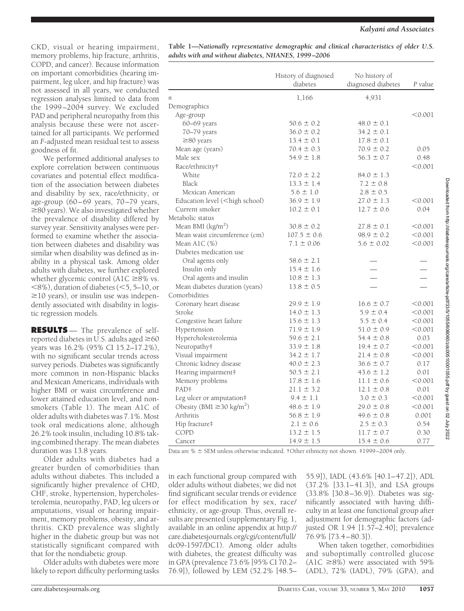#### *Kalyani and Associates*

CKD, visual or hearing impairment, memory problems, hip fracture, arthritis, COPD, and cancer). Because information on important comorbidities (hearing impairment, leg ulcer, and hip fracture) was not assessed in all years, we conducted regression analyses limited to data from the 1999–2004 survey. We excluded PAD and peripheral neuropathy from this analysis because these were not ascertained for all participants. We performed an *F*-adjusted mean residual test to assess goodness of fit.

We performed additional analyses to explore correlation between continuous covariates and potential effect modification of the association between diabetes and disability by sex, race/ethnicity, or age-group (60–69 years, 70–79 years,  $\geq$ 80 years). We also investigated whether the prevalence of disability differed by survey year. Sensitivity analyses were performed to examine whether the association between diabetes and disability was similar when disability was defined as inability in a physical task. Among older adults with diabetes, we further explored whether glycemic control (A1C  $\geq$ 8% vs.  $\leq$ 8%), duration of diabetes ( $\leq$ 5, 5–10, or  $\geq$ 10 years), or insulin use was independently associated with disability in logistic regression models.

**RESULTS** — The prevalence of selfreported diabetes in U.S. adults aged  $\geq 60$ years was 16.2% (95% CI 15.2–17.2%), with no significant secular trends across survey periods. Diabetes was significantly more common in non-Hispanic blacks and Mexican Americans, individuals with higher BMI or waist circumference and lower attained education level, and nonsmokers (Table 1). The mean A1C of older adults with diabetes was 7.1%. Most took oral medications alone, although 26.2% took insulin, including 10.8% taking combined therapy. The mean diabetes duration was 13.8 years.

Older adults with diabetes had a greater burden of comorbidities than adults without diabetes. This included a significantly higher prevalence of CHD, CHF, stroke, hypertension, hypercholesterolemia, neuropathy, PAD, leg ulcers or amputations, visual or hearing impairment, memory problems, obesity, and arthritis. CKD prevalence was slightly higher in the diabetic group but was not statistically significant compared with that for the nondiabetic group.

Older adults with diabetes were more likely to report difficulty performing tasks

**Table 1—***Nationally representative demographic and clinical characteristics of older U.S. adults with and without diabetes, NHANES, 1999 –2006*

|                                                                                                                                          | History of diagnosed<br>diabetes | No history of<br>diagnosed diabetes | P value |
|------------------------------------------------------------------------------------------------------------------------------------------|----------------------------------|-------------------------------------|---------|
| n                                                                                                                                        | 1,166                            | 4,931                               |         |
| Demographics                                                                                                                             |                                  |                                     |         |
| Age-group                                                                                                                                |                                  |                                     | < 0.001 |
| 60-69 years                                                                                                                              | $50.6 \pm 0.2$                   | $48.0 \pm 0.1$                      |         |
| 70-79 years                                                                                                                              | $36.0 \pm 0.2$                   | $34.2 \pm 0.1$                      |         |
| $\geq$ 80 years                                                                                                                          | $13.4 \pm 0.1$                   | $17.8 \pm 0.1$                      |         |
| Mean age (years)                                                                                                                         | $70.4 \pm 0.3$                   | $70.9 \pm 0.2$                      | 0.05    |
| Male sex                                                                                                                                 | $54.9 \pm 1.8$                   | $56.3 \pm 0.7$                      | 0.48    |
| Race/ethnicity†                                                                                                                          |                                  |                                     | < 0.001 |
| White                                                                                                                                    | $72.0 \pm 2.2$                   | $84.0 \pm 1.3$                      |         |
| Black                                                                                                                                    | $13.3 \pm 1.4$                   | $7.2 \pm 0.8$                       |         |
| Mexican American                                                                                                                         | $5.6 \pm 1.0$                    | $2.8 \pm 0.5$                       |         |
| Education level ( <high school)<="" td=""><td><math>36.9 \pm 1.9</math></td><td><math>27.0 \pm 1.3</math></td><td>&lt; 0.001</td></high> | $36.9 \pm 1.9$                   | $27.0 \pm 1.3$                      | < 0.001 |
| Current smoker                                                                                                                           | $10.2 \pm 0.1$                   | $12.7 \pm 0.6$                      | 0.04    |
| Metabolic status                                                                                                                         |                                  |                                     |         |
| Mean BMI $(kg/m2)$                                                                                                                       | $30.8 \pm 0.2$                   | $27.8 \pm 0.1$                      | < 0.001 |
| Mean waist circumference (cm)                                                                                                            | $107.5 \pm 0.6$                  | $98.9 \pm 0.2$                      | < 0.001 |
| Mean A1C (%)                                                                                                                             | $7.1 \pm 0.06$                   | $5.6 \pm 0.02$                      | < 0.001 |
| Diabetes medication use                                                                                                                  |                                  |                                     |         |
| Oral agents only                                                                                                                         | $58.6 \pm 2.1$                   |                                     |         |
| Insulin only                                                                                                                             | $15.4 \pm 1.6$                   |                                     |         |
| Oral agents and insulin                                                                                                                  | $10.8 \pm 1.3$                   |                                     |         |
| Mean diabetes duration (years)                                                                                                           | $13.8 \pm 0.5$                   |                                     |         |
| Comorbidities                                                                                                                            |                                  |                                     |         |
| Coronary heart disease                                                                                                                   | $29.9 \pm 1.9$                   | $16.6 \pm 0.7$                      | < 0.001 |
| Stroke                                                                                                                                   | $14.0 \pm 1.3$                   | $5.9 \pm 0.4$                       | < 0.001 |
| Congestive heart failure                                                                                                                 | $15.6 \pm 1.3$                   | $5.5 \pm 0.4$                       | < 0.001 |
| Hypertension                                                                                                                             | $71.9 \pm 1.9$                   | $51.0 \pm 0.9$                      | < 0.001 |
| Hypercholesterolemia                                                                                                                     | $59.6 \pm 2.1$                   | $54.4 \pm 0.8$                      | 0.03    |
| Neuropathy#                                                                                                                              | $33.9 \pm 1.8$                   | $19.4 \pm 0.7$                      | < 0.001 |
| Visual impairment                                                                                                                        | $34.2 \pm 1.7$                   | $21.4 \pm 0.8$                      | < 0.001 |
| Chronic kidney disease                                                                                                                   | $40.0 \pm 2.3$                   | $36.6 \pm 0.7$                      | 0.17    |
| Hearing impairment#                                                                                                                      | $50.5 \pm 2.1$                   | $43.6 \pm 1.2$                      | 0.01    |
| Memory problems                                                                                                                          | $17.8 \pm 1.6$                   | $11.1 \pm 0.6$                      | < 0.001 |
| PAD <sup>‡</sup>                                                                                                                         | $21.1 \pm 3.2$                   | $12.1 \pm 0.8$                      | 0.01    |
| Leg ulcer or amputation#                                                                                                                 | $9.4 \pm 1.1$                    | $3.0 \pm 0.3$                       | < 0.001 |
| Obesity (BMI $\geq$ 30 kg/m <sup>2</sup> )                                                                                               | $48.6 \pm 1.9$                   | $29.0 \pm 0.8$                      | < 0.001 |
| Arthritis                                                                                                                                | $56.8 \pm 1.9$                   | $49.6 \pm 0.8$                      | 0.001   |
| Hip fracture‡                                                                                                                            | $2.1 \pm 0.6$                    | $2.5 \pm 0.3$                       | 0.54    |
| COPD                                                                                                                                     | $13.2 \pm 1.5$                   | $11.7 \pm 0.7$                      | 0.30    |
| Cancer                                                                                                                                   | $14.9 \pm 1.5$                   | $15.4 \pm 0.6$                      | 0.77    |

Data are  $% \pm$  SEM unless otherwise indicated. †Other ethnicity not shown. ‡1999–2004 only.

in each functional group compared with older adults without diabetes; we did not find significant secular trends or evidence for effect modification by sex, race/ ethnicity, or age-group. Thus, overall results are presented (supplementary Fig. 1, available in an online appendix at http:// care.diabetesjournals.org/cgi/content/full/ dc09-1597/DC1). Among older adults with diabetes, the greatest difficulty was in GPA (prevalence 73.6% [95% CI 70.2– 76.9]), followed by LEM (52.2% [48.5–

55.9]), IADL (43.6% [40.1–47.2]), ADL (37.2% [33.1–41.3]), and LSA groups (33.8% [30.8–36.9]). Diabetes was significantly associated with having difficulty in at least one functional group after adjustment for demographic factors (adjusted OR 1.94 [1.57–2.40]; prevalence 76.9% [73.4–80.3]).

When taken together, comorbidities and suboptimally controlled glucose  $(A1C \ge 8\%)$  were associated with 59% (ADL), 72% (IADL), 79% (GPA), and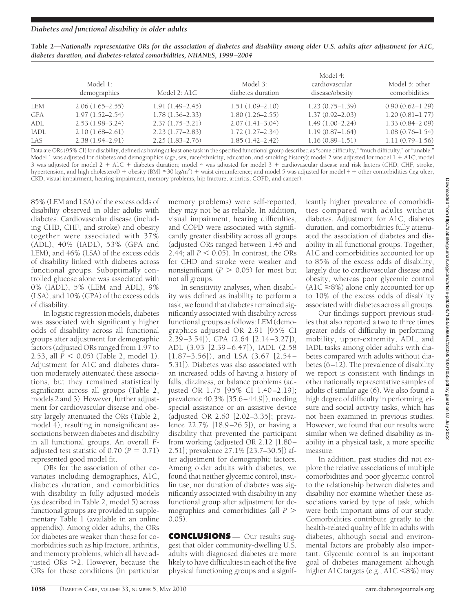| Table 2—Nationally representative ORs for the association of diabetes and disability among older U.S. adults after adjustment for A1C, |  |  |  |
|----------------------------------------------------------------------------------------------------------------------------------------|--|--|--|
| diabetes duration, and diabetes-related comorbidities, NHANES, 1999–2004                                                               |  |  |  |

|             | Model 1:<br>demographics | Model 2: A1C        | Model 3:<br>diabetes duration | Model 4:<br>cardiovascular<br>disease/obesity | Model 5: other<br>comorbidities |
|-------------|--------------------------|---------------------|-------------------------------|-----------------------------------------------|---------------------------------|
| LEM         | $2.06(1.65 - 2.55)$      | $1.91(1.49 - 2.45)$ | $1.51(1.09-2.10)$             | $1.23(0.75 - 1.39)$                           | $0.90(0.62 - 1.29)$             |
| <b>GPA</b>  | $1.97(1.52 - 2.54)$      | $1.78(1.36 - 2.33)$ | $1.80(1.26 - 2.55)$           | $1.37(0.92 - 2.03)$                           | $1.20(0.81 - 1.77)$             |
| ADL         | $2.53(1.98 - 3.24)$      | $2.37(1.75-3.21)$   | $2.07(1.41-3.04)$             | $1.49(1.00 - 2.24)$                           | $1.33(0.84 - 2.09)$             |
| <b>IADL</b> | $2.10(1.68 - 2.61)$      | $2.23(1.77-2.83)$   | $1.72(1.27 - 2.34)$           | $1.19(0.87 - 1.64)$                           | $1.08(0.76 - 1.54)$             |
| LAS         | $2.38(1.94 - 2.91)$      | $2.25(1.83 - 2.76)$ | $1.85(1.42 - 2.42)$           | $1.16(0.89 - 1.51)$                           | $1.11(0.79 - 1.56)$             |

Data are ORs (95% CI) for disability, defined as having at least one task in the specified functional group described as "some difficulty," "much difficulty," or "unable." Model 1 was adjusted for diabetes and demographics (age, sex, race/ethnicity, education, and smoking history); model 2 was adjusted for model 1 + A1C; model 3 was adjusted for model  $2 + A1C +$  diabetes duration; model 4 was adjusted for model  $3 +$  cardiovascular disease and risk factors (CHD, CHF, stroke, hypertension, and high cholesterol) + obesity (BMI  $\geq$ 30 kg/m<sup>2</sup>) + waist circumference; and model 5 was adjusted for model 4 + other comorbidities (leg ulcer, CKD, visual impairment, hearing impairment, memory problems, hip fracture, arthritis, COPD, and cancer).

85% (LEM and LSA) of the excess odds of disability observed in older adults with diabetes. Cardiovascular disease (including CHD, CHF, and stroke) and obesity together were associated with 37% (ADL), 40% (IADL), 53% (GPA and LEM), and 46% (LSA) of the excess odds of disability linked with diabetes across functional groups. Suboptimally controlled glucose alone was associated with 0% (IADL), 5% (LEM and ADL), 9% (LSA), and 10% (GPA) of the excess odds of disability.

In logistic regression models, diabetes was associated with significantly higher odds of disability across all functional groups after adjustment for demographic factors (adjusted ORs ranged from 1.97 to 2.53, all  $P < 0.05$ ) (Table 2, model 1). Adjustment for A1C and diabetes duration moderately attenuated these associations, but they remained statistically significant across all groups (Table 2, models 2 and 3). However, further adjustment for cardiovascular disease and obesity largely attenuated the ORs (Table 2, model 4), resulting in nonsignificant associations between diabetes and disability in all functional groups. An overall *F*adjusted test statistic of  $0.70$  ( $P = 0.71$ ) represented good model fit.

ORs for the association of other covariates including demographics, A1C, diabetes duration, and comorbidities with disability in fully adjusted models (as described in Table 2, model 5) across functional groups are provided in supplementary Table 1 (available in an online appendix). Among older adults, the ORs for diabetes are weaker than those for comorbidities such as hip fracture, arthritis, and memory problems, which all have adjusted ORs 2. However, because the ORs for these conditions (in particular

memory problems) were self-reported, they may not be as reliable. In addition, visual impairment, hearing difficulties, and COPD were associated with significantly greater disability across all groups (adjusted ORs ranged between 1.46 and 2.44; all  $P < 0.05$ ). In contrast, the ORs for CHD and stroke were weaker and nonsignificant ( $P > 0.05$ ) for most but not all groups.

In sensitivity analyses, when disability was defined as inability to perform a task, we found that diabetes remained significantly associated with disability across functional groups as follows: LEM (demographics adjusted OR 2.91 [95% CI 2.39–3.54]), GPA (2.64 [2.14–3.27]), ADL (3.93 [2.39–6.47]), IADL (2.58 [1.87–3.56]), and LSA (3.67 [2.54– 5.31]). Diabetes was also associated with an increased odds of having a history of falls, dizziness, or balance problems (adjusted OR 1.75 [95% CI 1.40–2.19]; prevalence 40.3% [35.6–44.9]), needing special assistance or an assistive device (adjusted OR 2.60 [2.02–3.35]; prevalence 22.7% [18.9–26.5]), or having a disability that prevented the participant from working (adjusted OR 2.12 [1.80– 2.51]; prevalence 27.1% [23.7–30.5]) after adjustment for demographic factors. Among older adults with diabetes, we found that neither glycemic control, insulin use, nor duration of diabetes was significantly associated with disability in any functional group after adjustment for demographics and comorbidities (all *P* 0.05).

**CONCLUSIONS** — Our results suggest that older community-dwelling U.S. adults with diagnosed diabetes are more likely to have difficulties in each of the five physical functioning groups and a significantly higher prevalence of comorbidities compared with adults without diabetes. Adjustment for A1C, diabetes duration, and comorbidities fully attenuated the association of diabetes and disability in all functional groups. Together, A1C and comorbidities accounted for up to 85% of the excess odds of disability, largely due to cardiovascular disease and obesity, whereas poor glycemic control  $(A1C \ge 8\%)$  alone only accounted for up to 10% of the excess odds of disability associated with diabetes across all groups.

Our findings support previous studies that also reported a two to three times greater odds of difficulty in performing mobility, upper-extremity, ADL, and IADL tasks among older adults with diabetes compared with adults without diabetes  $(6-\overline{12})$ . The prevalence of disability we report is consistent with findings in other nationally representative samples of adults of similar age (6). We also found a high degree of difficulty in performing leisure and social activity tasks, which has not been examined in previous studies. However, we found that our results were similar when we defined disability as inability in a physical task, a more specific measure.

In addition, past studies did not explore the relative associations of multiple comorbidities and poor glycemic control to the relationship between diabetes and disability nor examine whether these associations varied by type of task, which were both important aims of our study. Comorbidities contribute greatly to the health-related quality of life in adults with diabetes, although social and environmental factors are probably also important. Glycemic control is an important goal of diabetes management although higher A1C targets (e.g., A1C <8%) may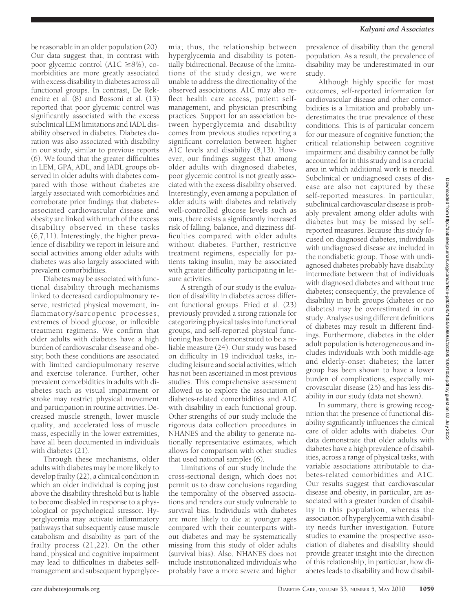be reasonable in an older population (20). Our data suggest that, in contrast with poor glycemic control (A1C  $\geq$ 8%), comorbidities are more greatly associated with excess disability in diabetes across all functional groups. In contrast, De Rekeneire et al. (8) and Bossoni et al. (13) reported that poor glycemic control was significantly associated with the excess subclinical LEM limitations and IADL disability observed in diabetes. Diabetes duration was also associated with disability in our study, similar to previous reports (6). We found that the greater difficulties in LEM, GPA, ADL, and IADL groups observed in older adults with diabetes compared with those without diabetes are largely associated with comorbidities and corroborate prior findings that diabetesassociated cardiovascular disease and obesity are linked with much of the excess disability observed in these tasks (6,7,11). Interestingly, the higher prevalence of disability we report in leisure and social activities among older adults with diabetes was also largely associated with prevalent comorbidities.

Diabetes may be associated with functional disability through mechanisms linked to decreased cardiopulmonary reserve, restricted physical movement, inflammatory/sarcopenic processes, extremes of blood glucose, or inflexible treatment regimens. We confirm that older adults with diabetes have a high burden of cardiovascular disease and obesity; both these conditions are associated with limited cardiopulmonary reserve and exercise tolerance. Further, other prevalent comorbidities in adults with diabetes such as visual impairment or stroke may restrict physical movement and participation in routine activities. Decreased muscle strength, lower muscle quality, and accelerated loss of muscle mass, especially in the lower extremities, have all been documented in individuals with diabetes (21).

Through these mechanisms, older adults with diabetes may be more likely to develop frailty (22), a clinical condition in which an older individual is coping just above the disability threshold but is liable to become disabled in response to a physiological or psychological stressor. Hyperglycemia may activate inflammatory pathways that subsequently cause muscle catabolism and disability as part of the frailty process (21,22). On the other hand, physical and cognitive impairment may lead to difficulties in diabetes selfmanagement and subsequent hyperglyce-

mia; thus, the relationship between hyperglycemia and disability is potentially bidirectional. Because of the limitations of the study design, we were unable to address the directionality of the observed associations. A1C may also reflect health care access, patient selfmanagement, and physician prescribing practices. Support for an association between hyperglycemia and disability comes from previous studies reporting a significant correlation between higher A1C levels and disability (8,13). However, our findings suggest that among older adults with diagnosed diabetes, poor glycemic control is not greatly associated with the excess disability observed. Interestingly, even among a population of older adults with diabetes and relatively well-controlled glucose levels such as ours, there exists a significantly increased risk of falling, balance, and dizziness difficulties compared with older adults without diabetes. Further, restrictive treatment regimens, especially for patients taking insulin, may be associated with greater difficulty participating in leisure activities.

A strength of our study is the evaluation of disability in diabetes across different functional groups. Fried et al. (23) previously provided a strong rationale for categorizing physical tasks into functional groups, and self-reported physical functioning has been demonstrated to be a reliable measure (24). Our study was based on difficulty in 19 individual tasks, including leisure and social activities, which has not been ascertained in most previous studies. This comprehensive assessment allowed us to explore the association of diabetes-related comorbidities and A1C with disability in each functional group. Other strengths of our study include the rigorous data collection procedures in NHANES and the ability to generate nationally representative estimates, which allows for comparison with other studies that used national samples (6).

Limitations of our study include the cross-sectional design, which does not permit us to draw conclusions regarding the temporality of the observed associations and renders our study vulnerable to survival bias. Individuals with diabetes are more likely to die at younger ages compared with their counterparts without diabetes and may be systematically missing from this study of older adults (survival bias). Also, NHANES does not include institutionalized individuals who probably have a more severe and higher

prevalence of disability than the general population. As a result, the prevalence of disability may be underestimated in our study.

Although highly specific for most outcomes, self-reported information for cardiovascular disease and other comorbidities is a limitation and probably underestimates the true prevalence of these conditions. This is of particular concern for our measure of cognitive function; the critical relationship between cognitive impairment and disability cannot be fully accounted for in this study and is a crucial area in which additional work is needed. Subclinical or undiagnosed cases of disease are also not captured by these self-reported measures. In particular, subclinical cardiovascular disease is probably prevalent among older adults with diabetes but may be missed by selfreported measures. Because this study focused on diagnosed diabetes, individuals with undiagnosed disease are included in the nondiabetic group. Those with undiagnosed diabetes probably have disability intermediate between that of individuals with diagnosed diabetes and without true diabetes; consequently, the prevalence of disability in both groups (diabetes or no diabetes) may be overestimated in our study. Analyses using different definitions of diabetes may result in different findings. Furthermore, diabetes in the older adult population is heterogeneous and includes individuals with both middle-age and elderly-onset diabetes; the latter group has been shown to have a lower burden of complications, especially microvascular disease (25) and has less disability in our study (data not shown).

In summary, there is growing recognition that the presence of functional disability significantly influences the clinical care of older adults with diabetes. Our data demonstrate that older adults with diabetes have a high prevalence of disabilities, across a range of physical tasks, with variable associations attributable to diabetes-related comorbidities and A1C. Our results suggest that cardiovascular disease and obesity, in particular, are associated with a greater burden of disability in this population, whereas the association of hyperglycemia with disability needs further investigation. Future studies to examine the prospective association of diabetes and disability should provide greater insight into the direction of this relationship; in particular, how diabetes leads to disability and how disabil